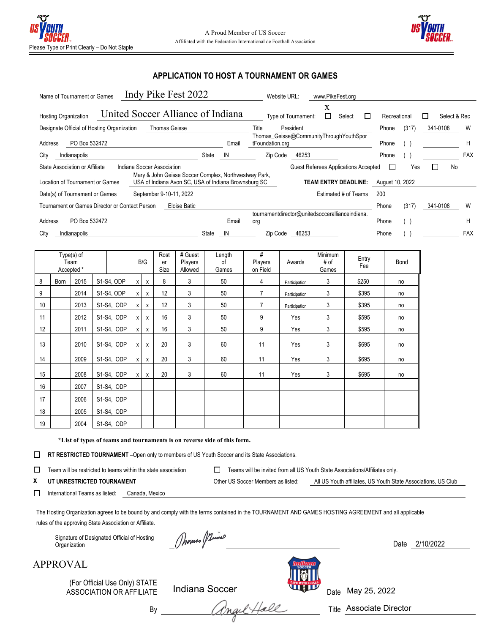

# **APPLICATION TO HOST A TOURNAMENT OR GAMES**

| Indy Pike Fest 2022<br>Name of Tournament or Games                                                                                               |       | Website URL:<br>www.PikeFest.org                           |              |       |              |            |
|--------------------------------------------------------------------------------------------------------------------------------------------------|-------|------------------------------------------------------------|--------------|-------|--------------|------------|
| United Soccer Alliance of Indiana<br><b>Hosting Organization</b>                                                                                 |       | x<br>Type of Tournament:<br>Select<br>ப                    | Recreational | ΙI    | Select & Rec |            |
| Designate Official of Hosting Organization<br><b>Thomas Geisse</b>                                                                               |       | Title<br>President                                         | Phone        | (317) | 341-0108     | W          |
| PO Box 532472<br>Address                                                                                                                         | Email | Thomas_Geisse@CommunityThroughYouthSpor<br>tFoundation.org | Phone        |       |              | H          |
| City<br>State<br>Indianapolis                                                                                                                    | IN    | Zip Code<br>46253                                          | Phone        |       |              | <b>FAX</b> |
| State Association or Affiliate<br>Indiana Soccer Association                                                                                     |       | Guest Referees Applications Accepted                       |              | Yes   | No           |            |
| Mary & John Geisse Soccer Complex, Northwestway Park,<br>USA of Indiana Avon SC, USA of Indiana Brownsburg SC<br>Location of Tournament or Games |       | TEAM ENTRY DEADLINE: August 10, 2022                       |              |       |              |            |
| September 9-10-11, 2022<br>Date(s) of Tournament or Games                                                                                        |       | Estimated # of Teams                                       | 200          |       |              |            |
| Tournament or Games Director or Contact Person<br>Eloise Batic                                                                                   |       |                                                            | Phone        | (317) | 341-0108     | W          |
| PO Box 532472<br>Address                                                                                                                         | Email | tournamentdirector@unitedsoccerallianceindiana.<br>org     | Phone        |       |              | H          |
| City<br>State<br>Indianapolis                                                                                                                    | IN    | 46253<br>Zip Code                                          | Phone        |       |              | FAX        |

| Type(s) of<br>Team<br>Accepted * |      | B/G  |            | Rost<br>er<br>Size | # Guest<br>Players<br>Allowed | Length<br>οf<br>Games | #<br>Players<br>on Field | Awards | Minimum<br># of<br>Games | Entry<br>Fee  | Bond |       |    |
|----------------------------------|------|------|------------|--------------------|-------------------------------|-----------------------|--------------------------|--------|--------------------------|---------------|------|-------|----|
| 8                                | Born | 2015 | S1-S4, ODP | $\boldsymbol{x}$   | X                             | 8                     | 3                        | 50     | 4                        | Participation | 3    | \$250 | no |
| 9                                |      | 2014 | S1-S4, ODP | X                  | X                             | 12                    | 3                        | 50     | 7                        | Participation | 3    | \$395 | no |
| 10                               |      | 2013 | S1-S4, ODP | $\mathsf{x}$       | $\mathsf{x}$                  | 12                    | 3                        | 50     | 7                        | Participation | 3    | \$395 | no |
| 11                               |      | 2012 | S1-S4, ODP | $\mathsf{x}$       | X                             | 16                    | 3                        | 50     | 9                        | Yes           | 3    | \$595 | no |
| 12                               |      | 2011 | S1-S4, ODP | x                  | Χ                             | 16                    | 3                        | 50     | 9                        | Yes           | 3    | \$595 | no |
| 13                               |      | 2010 | S1-S4, ODP | $\mathsf{x}$       | X                             | 20                    | 3                        | 60     | 11                       | Yes           | 3    | \$695 | no |
| 14                               |      | 2009 | S1-S4, ODP | $\mathsf{x}$       | X                             | 20                    | 3                        | 60     | 11                       | Yes           | 3    | \$695 | no |
| 15                               |      | 2008 | S1-S4, ODP | <b>X</b>           | X                             | 20                    | 3                        | 60     | 11                       | Yes           | 3    | \$695 | no |
| 16                               |      | 2007 | S1-S4, ODP |                    |                               |                       |                          |        |                          |               |      |       |    |
| 17                               |      | 2006 | S1-S4, ODP |                    |                               |                       |                          |        |                          |               |      |       |    |
| 18                               |      | 2005 | S1-S4, ODP |                    |                               |                       |                          |        |                          |               |      |       |    |
| 19                               |      | 2004 | S1-S4, ODP |                    |                               |                       |                          |        |                          |               |      |       |    |

**\*List of types of teams and tournaments is on reverse side of this form.**

RT RESTRICTED TOURNAMENT -Open only to members of US Youth Soccer and its State Associations.

Team will be restricted to teams within the state association  $\square$  Teams will be invited from all US Youth State Associations/Affiliates only.  $\Box$ 

- **x UT UNRESTRICTED TOURNAMENT Other US Soccer Members as listed:** All US Youth affiliates, US Youth State Associations, US Club
- $\Box$ International Teams as listed: Canada, Mexico

The Hosting Organization agrees to be bound by and comply with the terms contained in the TOURNAMENT AND GAMES HOSTING AGREEMENT and all applicable rules of the approving State Association or Affiliate.

Signature of Designated Official of Hosting<br>Organization

 $\omega$ 



(For Official Use Only) STATE ASSOCIATION OR AFFILIATE Indiana Soccer



By angel Hall



Date May 25, 2022

Associate Director